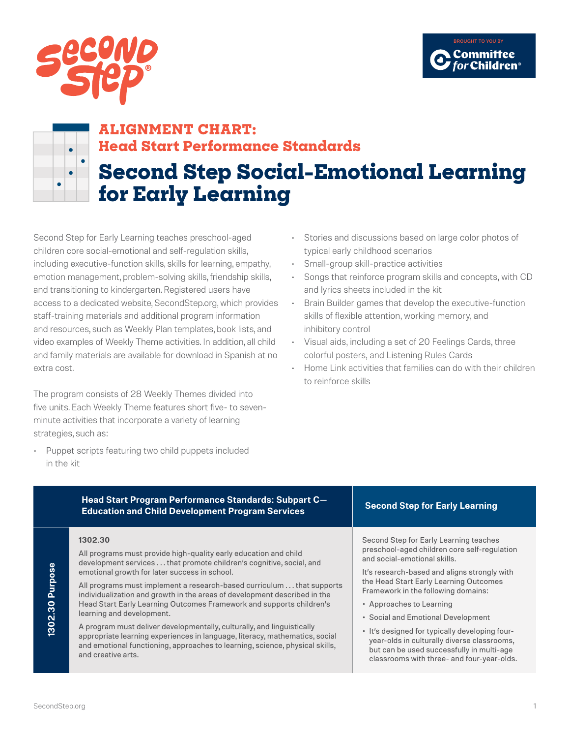



# **ALIGNMENT CHART: Head Start Performance Standards**

# **Second Step Social-Emotional Learning for Early Learning**

Second Step for Early Learning teaches preschool-aged children core social-emotional and self-regulation skills, including executive-function skills, skills for learning, empathy, emotion management, problem-solving skills, friendship skills, and transitioning to kindergarten. Registered users have access to a dedicated website, SecondStep.org, which provides staff-training materials and additional program information and resources, such as Weekly Plan templates, book lists, and video examples of Weekly Theme activities. In addition, all child and family materials are available for download in Spanish at no extra cost.

The program consists of 28 Weekly Themes divided into five units. Each Weekly Theme features short five- to sevenminute activities that incorporate a variety of learning strategies, such as:

• Puppet scripts featuring two child puppets included in the kit

- Stories and discussions based on large color photos of typical early childhood scenarios
- Small-group skill-practice activities
- Songs that reinforce program skills and concepts, with CD and lyrics sheets included in the kit
- Brain Builder games that develop the executive-function skills of flexible attention, working memory, and inhibitory control
- Visual aids, including a set of 20 Feelings Cards, three colorful posters, and Listening Rules Cards
- Home Link activities that families can do with their children to reinforce skills

| Head Start Program Performance Standards: Subpart C-<br><b>Education and Child Development Program Services</b>                                                                                                                                             | <b>Second Step for Early Learning</b>                                                                                                                                                    |
|-------------------------------------------------------------------------------------------------------------------------------------------------------------------------------------------------------------------------------------------------------------|------------------------------------------------------------------------------------------------------------------------------------------------------------------------------------------|
| 1302.30<br>All programs must provide high-quality early education and child<br>development services that promote children's cognitive, social, and<br>emotional growth for later success in school.                                                         | Second Step for Early Learning teaches<br>preschool-aged children core self-regulation<br>and social-emotional skills.<br>It's research-based and aligns strongly with                   |
| All programs must implement a research-based curriculum that supports<br>individualization and growth in the areas of development described in the<br>Head Start Early Learning Outcomes Framework and supports children's<br>learning and development.     | the Head Start Early Learning Outcomes<br>Framework in the following domains:<br>• Approaches to Learning<br>• Social and Emotional Development                                          |
| A program must deliver developmentally, culturally, and linguistically<br>appropriate learning experiences in language, literacy, mathematics, social<br>and emotional functioning, approaches to learning, science, physical skills,<br>and creative arts. | . It's designed for typically developing four-<br>year-olds in culturally diverse classrooms,<br>but can be used successfully in multi-age<br>classrooms with three- and four-year-olds. |

# 1302.30 Purpose **1302.30 Purpose**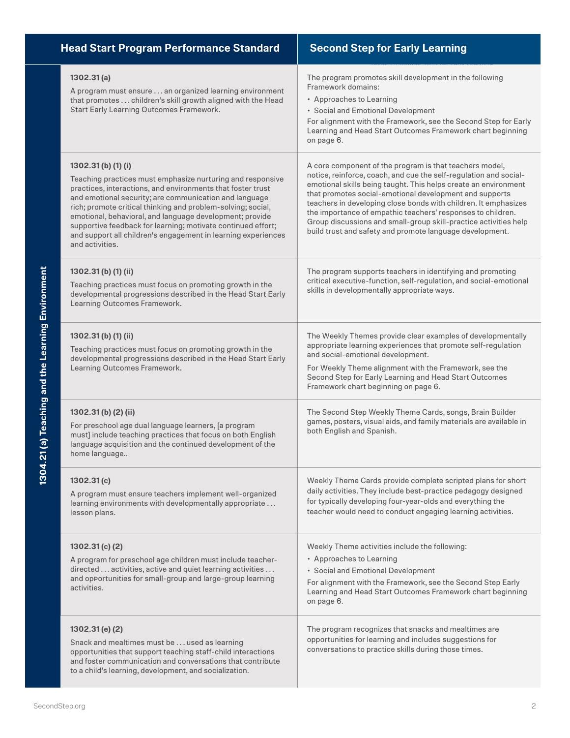| <b>Head Start Program Performance Standard</b>                                                                                                                                                                                                                                                                                                                                                                                                                                                 | <b>Second Step for Early Learning</b>                                                                                                                                                                                                                                                                                                                                                                                                                                                                                        |
|------------------------------------------------------------------------------------------------------------------------------------------------------------------------------------------------------------------------------------------------------------------------------------------------------------------------------------------------------------------------------------------------------------------------------------------------------------------------------------------------|------------------------------------------------------------------------------------------------------------------------------------------------------------------------------------------------------------------------------------------------------------------------------------------------------------------------------------------------------------------------------------------------------------------------------------------------------------------------------------------------------------------------------|
| 1302.31(a)<br>A program must ensure an organized learning environment<br>that promotes  children's skill growth aligned with the Head<br>Start Early Learning Outcomes Framework.                                                                                                                                                                                                                                                                                                              | The program promotes skill development in the following<br>Framework domains:<br>• Approaches to Learning<br>• Social and Emotional Development<br>For alignment with the Framework, see the Second Step for Early<br>Learning and Head Start Outcomes Framework chart beginning<br>on page 6.                                                                                                                                                                                                                               |
| $1302.31$ (b) $(1)$ (i)<br>Teaching practices must emphasize nurturing and responsive<br>practices, interactions, and environments that foster trust<br>and emotional security; are communication and language<br>rich; promote critical thinking and problem-solving; social,<br>emotional, behavioral, and language development; provide<br>supportive feedback for learning; motivate continued effort;<br>and support all children's engagement in learning experiences<br>and activities. | A core component of the program is that teachers model,<br>notice, reinforce, coach, and cue the self-regulation and social-<br>emotional skills being taught. This helps create an environment<br>that promotes social-emotional development and supports<br>teachers in developing close bonds with children. It emphasizes<br>the importance of empathic teachers' responses to children.<br>Group discussions and small-group skill-practice activities help<br>build trust and safety and promote language development. |
| 1302.31(b)(1)(ii)<br>Teaching practices must focus on promoting growth in the<br>developmental progressions described in the Head Start Early<br>Learning Outcomes Framework.                                                                                                                                                                                                                                                                                                                  | The program supports teachers in identifying and promoting<br>critical executive-function, self-regulation, and social-emotional<br>skills in developmentally appropriate ways.                                                                                                                                                                                                                                                                                                                                              |
| 1302.31 (b) (1) (ii)<br>Teaching practices must focus on promoting growth in the<br>developmental progressions described in the Head Start Early<br>Learning Outcomes Framework.                                                                                                                                                                                                                                                                                                               | The Weekly Themes provide clear examples of developmentally<br>appropriate learning experiences that promote self-regulation<br>and social-emotional development.<br>For Weekly Theme alignment with the Framework, see the<br>Second Step for Early Learning and Head Start Outcomes<br>Framework chart beginning on page 6.                                                                                                                                                                                                |
| 1302.31 (b) (2) (ii)<br>For preschool age dual language learners, [a program<br>must] include teaching practices that focus on both English<br>language acquisition and the continued development of the<br>home language                                                                                                                                                                                                                                                                      | The Second Step Weekly Theme Cards, songs, Brain Builder<br>games, posters, visual aids, and family materials are available in<br>both English and Spanish.                                                                                                                                                                                                                                                                                                                                                                  |
| 1302.31(c)<br>A program must ensure teachers implement well-organized<br>learning environments with developmentally appropriate<br>lesson plans.                                                                                                                                                                                                                                                                                                                                               | Weekly Theme Cards provide complete scripted plans for short<br>daily activities. They include best-practice pedagogy designed<br>for typically developing four-year-olds and everything the<br>teacher would need to conduct engaging learning activities.                                                                                                                                                                                                                                                                  |
| 1302.31(c)(2)<br>A program for preschool age children must include teacher-<br>directed  activities, active and quiet learning activities<br>and opportunities for small-group and large-group learning<br>activities.                                                                                                                                                                                                                                                                         | Weekly Theme activities include the following:<br>• Approaches to Learning<br>• Social and Emotional Development<br>For alignment with the Framework, see the Second Step Early<br>Learning and Head Start Outcomes Framework chart beginning<br>on page 6.                                                                                                                                                                                                                                                                  |
| 1302.31(e)(2)<br>Snack and mealtimes must be used as learning<br>opportunities that support teaching staff-child interactions<br>and foster communication and conversations that contribute<br>to a child's learning, development, and socialization.                                                                                                                                                                                                                                          | The program recognizes that snacks and mealtimes are<br>opportunities for learning and includes suggestions for<br>conversations to practice skills during those times.                                                                                                                                                                                                                                                                                                                                                      |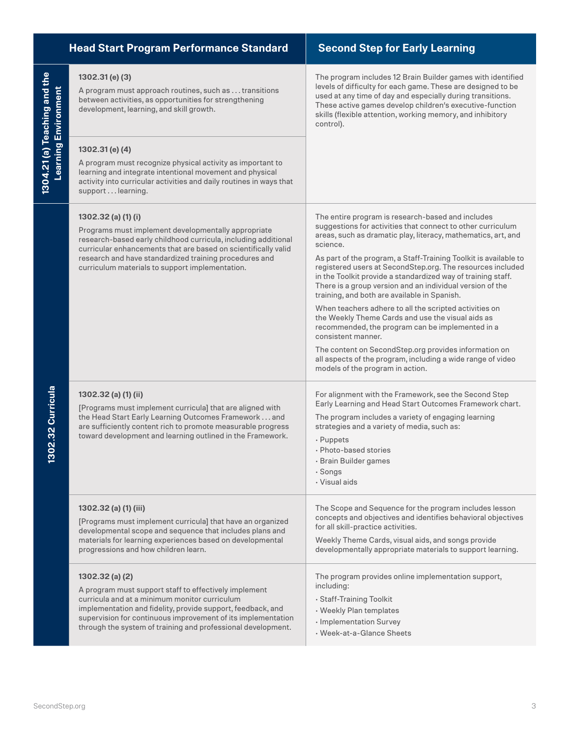|                                                             | <b>Head Start Program Performance Standard</b>                                                                                                                                                                                                                                                                              | <b>Second Step for Early Learning</b>                                                                                                                                                                                                                                                                                                                                                                                                                                                                                                                                                                                                                                                                                                                                                                                                                             |
|-------------------------------------------------------------|-----------------------------------------------------------------------------------------------------------------------------------------------------------------------------------------------------------------------------------------------------------------------------------------------------------------------------|-------------------------------------------------------------------------------------------------------------------------------------------------------------------------------------------------------------------------------------------------------------------------------------------------------------------------------------------------------------------------------------------------------------------------------------------------------------------------------------------------------------------------------------------------------------------------------------------------------------------------------------------------------------------------------------------------------------------------------------------------------------------------------------------------------------------------------------------------------------------|
| 1304.21 (a) Teaching and the<br><b>Learning Environment</b> | 1302.31(e)(3)<br>A program must approach routines, such as  transitions<br>between activities, as opportunities for strengthening<br>development, learning, and skill growth.                                                                                                                                               | The program includes 12 Brain Builder games with identified<br>levels of difficulty for each game. These are designed to be<br>used at any time of day and especially during transitions.<br>These active games develop children's executive-function<br>skills (flexible attention, working memory, and inhibitory<br>control).                                                                                                                                                                                                                                                                                                                                                                                                                                                                                                                                  |
|                                                             | 1302.31(e)(4)<br>A program must recognize physical activity as important to<br>learning and integrate intentional movement and physical<br>activity into curricular activities and daily routines in ways that<br>support learning.                                                                                         |                                                                                                                                                                                                                                                                                                                                                                                                                                                                                                                                                                                                                                                                                                                                                                                                                                                                   |
| 02.32 Curricula                                             | 1302.32 (a) (1) (i)<br>Programs must implement developmentally appropriate<br>research-based early childhood curricula, including additional<br>curricular enhancements that are based on scientifically valid<br>research and have standardized training procedures and<br>curriculum materials to support implementation. | The entire program is research-based and includes<br>suggestions for activities that connect to other curriculum<br>areas, such as dramatic play, literacy, mathematics, art, and<br>science.<br>As part of the program, a Staff-Training Toolkit is available to<br>registered users at SecondStep.org. The resources included<br>in the Toolkit provide a standardized way of training staff.<br>There is a group version and an individual version of the<br>training, and both are available in Spanish.<br>When teachers adhere to all the scripted activities on<br>the Weekly Theme Cards and use the visual aids as<br>recommended, the program can be implemented in a<br>consistent manner.<br>The content on SecondStep.org provides information on<br>all aspects of the program, including a wide range of video<br>models of the program in action. |
|                                                             | 1302.32 (a) (1) (ii)<br>[Programs must implement curricula] that are aligned with<br>the Head Start Early Learning Outcomes Framework  and<br>are sufficiently content rich to promote measurable progress<br>toward development and learning outlined in the Framework.                                                    | For alignment with the Framework, see the Second Step<br>Early Learning and Head Start Outcomes Framework chart.<br>The program includes a variety of engaging learning<br>strategies and a variety of media, such as:<br>· Puppets<br>· Photo-based stories<br>· Brain Builder games<br>· Songs<br>· Visual aids                                                                                                                                                                                                                                                                                                                                                                                                                                                                                                                                                 |
|                                                             | 1302.32 (a) (1) (iii)<br>[Programs must implement curricula] that have an organized<br>developmental scope and sequence that includes plans and<br>materials for learning experiences based on developmental<br>progressions and how children learn.                                                                        | The Scope and Sequence for the program includes lesson<br>concepts and objectives and identifies behavioral objectives<br>for all skill-practice activities.<br>Weekly Theme Cards, visual aids, and songs provide<br>developmentally appropriate materials to support learning.                                                                                                                                                                                                                                                                                                                                                                                                                                                                                                                                                                                  |
|                                                             | 1302.32(a)(2)<br>A program must support staff to effectively implement<br>curricula and at a minimum monitor curriculum<br>implementation and fidelity, provide support, feedback, and<br>supervision for continuous improvement of its implementation<br>through the system of training and professional development.      | The program provides online implementation support,<br>including:<br>· Staff-Training Toolkit<br>• Weekly Plan templates<br>· Implementation Survey<br>· Week-at-a-Glance Sheets                                                                                                                                                                                                                                                                                                                                                                                                                                                                                                                                                                                                                                                                                  |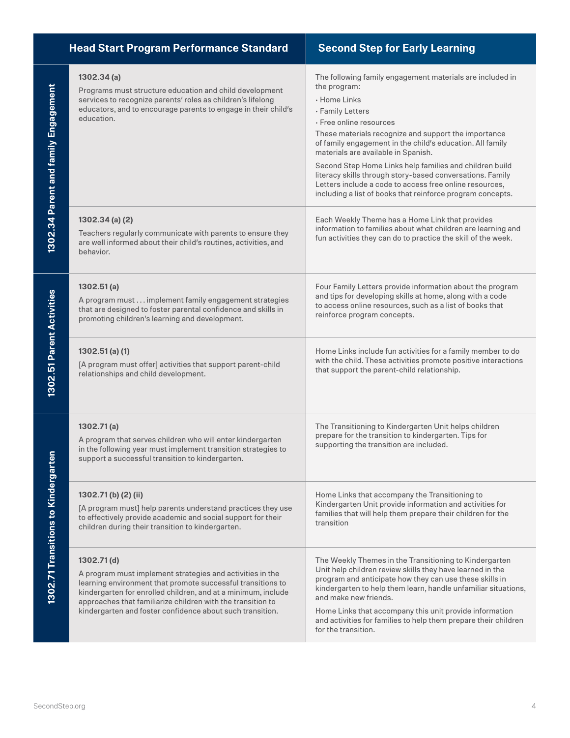|                                      | <b>Head Start Program Performance Standard</b>                                                                                                                                                                                                                                                                                      | <b>Second Step for Early Learning</b>                                                                                                                                                                                                                                                                                                                                                                                                                                                                                                                 |
|--------------------------------------|-------------------------------------------------------------------------------------------------------------------------------------------------------------------------------------------------------------------------------------------------------------------------------------------------------------------------------------|-------------------------------------------------------------------------------------------------------------------------------------------------------------------------------------------------------------------------------------------------------------------------------------------------------------------------------------------------------------------------------------------------------------------------------------------------------------------------------------------------------------------------------------------------------|
| 1302.34 Parent and family Engagement | 1302.34 (a)<br>Programs must structure education and child development<br>services to recognize parents' roles as children's lifelong<br>educators, and to encourage parents to engage in their child's<br>education.                                                                                                               | The following family engagement materials are included in<br>the program:<br>· Home Links<br>· Family Letters<br>· Free online resources<br>These materials recognize and support the importance<br>of family engagement in the child's education. All family<br>materials are available in Spanish.<br>Second Step Home Links help families and children build<br>literacy skills through story-based conversations. Family<br>Letters include a code to access free online resources,<br>including a list of books that reinforce program concepts. |
|                                      | $1302.34$ (a) (2)<br>Teachers regularly communicate with parents to ensure they<br>are well informed about their child's routines, activities, and<br>behavior.                                                                                                                                                                     | Each Weekly Theme has a Home Link that provides<br>information to families about what children are learning and<br>fun activities they can do to practice the skill of the week.                                                                                                                                                                                                                                                                                                                                                                      |
| 1302.51 Parent Activities            | 1302.51(a)<br>A program must implement family engagement strategies<br>that are designed to foster parental confidence and skills in<br>promoting children's learning and development.                                                                                                                                              | Four Family Letters provide information about the program<br>and tips for developing skills at home, along with a code<br>to access online resources, such as a list of books that<br>reinforce program concepts.                                                                                                                                                                                                                                                                                                                                     |
|                                      | $1302.51$ (a) (1)<br>[A program must offer] activities that support parent-child<br>relationships and child development.                                                                                                                                                                                                            | Home Links include fun activities for a family member to do<br>with the child. These activities promote positive interactions<br>that support the parent-child relationship.                                                                                                                                                                                                                                                                                                                                                                          |
|                                      | 1302.71(a)<br>A program that serves children who will enter kindergarten<br>in the following year must implement transition strategies to<br>support a successful transition to kindergarten.                                                                                                                                       | The Transitioning to Kindergarten Unit helps children<br>prepare for the transition to kindergarten. Tips for<br>supporting the transition are included.                                                                                                                                                                                                                                                                                                                                                                                              |
| 1302.71 Transitions to Kindergarter  | 1302.71 (b) (2) (ii)<br>[A program must] help parents understand practices they use<br>to effectively provide academic and social support for their<br>children during their transition to kindergarten.                                                                                                                            | Home Links that accompany the Transitioning to<br>Kindergarten Unit provide information and activities for<br>families that will help them prepare their children for the<br>transition                                                                                                                                                                                                                                                                                                                                                               |
|                                      | 1302.71(d)<br>A program must implement strategies and activities in the<br>learning environment that promote successful transitions to<br>kindergarten for enrolled children, and at a minimum, include<br>approaches that familiarize children with the transition to<br>kindergarten and foster confidence about such transition. | The Weekly Themes in the Transitioning to Kindergarten<br>Unit help children review skills they have learned in the<br>program and anticipate how they can use these skills in<br>kindergarten to help them learn, handle unfamiliar situations,<br>and make new friends.<br>Home Links that accompany this unit provide information<br>and activities for families to help them prepare their children<br>for the transition.                                                                                                                        |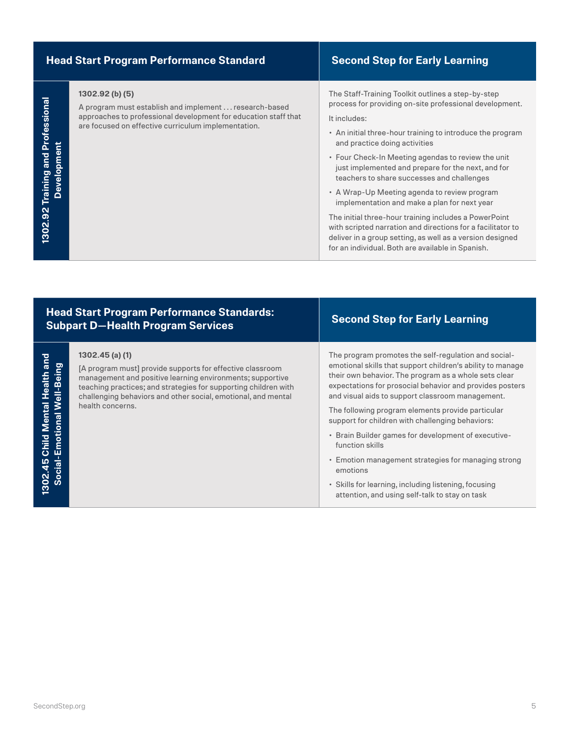|                                                   | <b>Head Start Program Performance Standard</b>                                                                                                                                                      | <b>Second Step for Early Learning</b>                                                                                                                                                                                                                                                                                                                                                                                                                                                                                                                                                                                                                                                                                           |
|---------------------------------------------------|-----------------------------------------------------------------------------------------------------------------------------------------------------------------------------------------------------|---------------------------------------------------------------------------------------------------------------------------------------------------------------------------------------------------------------------------------------------------------------------------------------------------------------------------------------------------------------------------------------------------------------------------------------------------------------------------------------------------------------------------------------------------------------------------------------------------------------------------------------------------------------------------------------------------------------------------------|
| Professional<br>o<br>高<br>Trainin<br>Ď<br>1302.92 | 1302.92 (b) (5)<br>A program must establish and implement  research-based<br>approaches to professional development for education staff that<br>are focused on effective curriculum implementation. | The Staff-Training Toolkit outlines a step-by-step<br>process for providing on-site professional development.<br>It includes:<br>• An initial three-hour training to introduce the program<br>and practice doing activities<br>• Four Check-In Meeting agendas to review the unit<br>just implemented and prepare for the next, and for<br>teachers to share successes and challenges<br>• A Wrap-Up Meeting agenda to review program<br>implementation and make a plan for next year<br>The initial three-hour training includes a PowerPoint<br>with scripted narration and directions for a facilitator to<br>deliver in a group setting, as well as a version designed<br>for an individual. Both are available in Spanish. |

## **Head Start Program Performance Standards: Subpart D—Health Program Services Second Step for Early Learning**

### **1302.45 (a) (1)**

**1302.45 Child Mental Health and Social-Emotional Well-Being**

302.45 Child Mental Health and Social-Emotional Well-Being

[A program must] provide supports for effective classroom management and positive learning environments; supportive teaching practices; and strategies for supporting children with challenging behaviors and other social, emotional, and mental health concerns.

The program promotes the self-regulation and socialemotional skills that support children's ability to manage their own behavior. The program as a whole sets clear expectations for prosocial behavior and provides posters and visual aids to support classroom management.

The following program elements provide particular support for children with challenging behaviors:

- Brain Builder games for development of executivefunction skills
- Emotion management strategies for managing strong emotions
- Skills for learning, including listening, focusing attention, and using self-talk to stay on task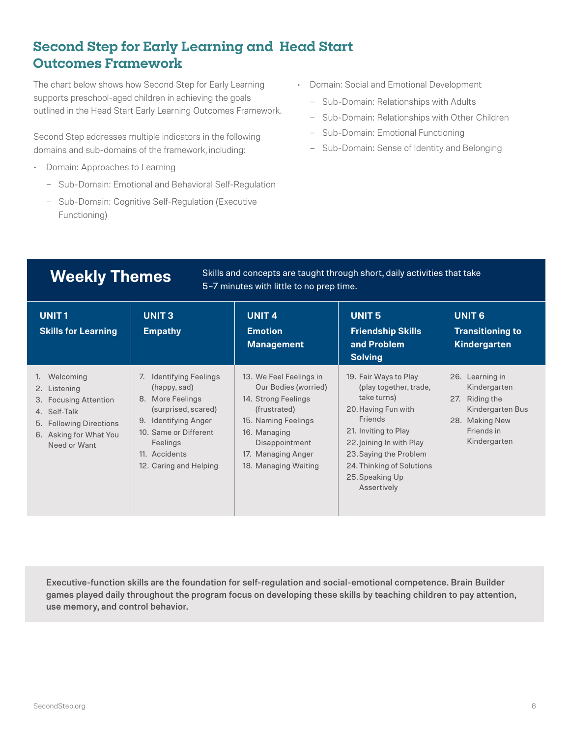# **Second Step for Early Learning and Head Start Outcomes Framework**

The chart below shows how Second Step for Early Learning supports preschool-aged children in achieving the goals outlined in the Head Start Early Learning Outcomes Framework.

Second Step addresses multiple indicators in the following domains and sub-domains of the framework, including:

- Domain: Approaches to Learning
	- Sub-Domain: Emotional and Behavioral Self-Regulation
	- Sub-Domain: Cognitive Self-Regulation (Executive Functioning)
- Domain: Social and Emotional Development
	- Sub-Domain: Relationships with Adults
	- Sub-Domain: Relationships with Other Children
	- Sub-Domain: Emotional Functioning
	- Sub-Domain: Sense of Identity and Belonging

**Weekly Themes** Skills and concepts are taught through short, daily activities that take 5–7 minutes with little to no prep time.

| <b>UNIT1</b><br><b>Skills for Learning</b>                                                                                              | <b>UNIT3</b><br><b>Empathy</b>                                                                                                                                                                             | <b>UNIT4</b><br><b>Emotion</b><br><b>Management</b>                                                                                                                                           | <b>UNIT5</b><br><b>Friendship Skills</b><br>and Problem<br><b>Solving</b>                                                                                                                                                                     | <b>UNIT 6</b><br><b>Transitioning to</b><br>Kindergarten                                                                 |
|-----------------------------------------------------------------------------------------------------------------------------------------|------------------------------------------------------------------------------------------------------------------------------------------------------------------------------------------------------------|-----------------------------------------------------------------------------------------------------------------------------------------------------------------------------------------------|-----------------------------------------------------------------------------------------------------------------------------------------------------------------------------------------------------------------------------------------------|--------------------------------------------------------------------------------------------------------------------------|
| Welcoming<br>2. Listening<br>3. Focusing Attention<br>4. Self-Talk<br>5. Following Directions<br>6. Asking for What You<br>Need or Want | <b>Identifying Feelings</b><br>7.<br>(happy, sad)<br>More Feelings<br>8.<br>(surprised, scared)<br>Identifying Anger<br>9.<br>10. Same or Different<br>Feelings<br>11. Accidents<br>12. Caring and Helping | 13. We Feel Feelings in<br>Our Bodies (worried)<br>14. Strong Feelings<br>(frustrated)<br>15. Naming Feelings<br>16. Managing<br>Disappointment<br>17. Managing Anger<br>18. Managing Waiting | 19. Fair Ways to Play<br>(play together, trade,<br>take turns)<br>20. Having Fun with<br>Friends<br>21. Inviting to Play<br>22. Joining In with Play<br>23. Saying the Problem<br>24. Thinking of Solutions<br>25. Speaking Up<br>Assertively | 26. Learning in<br>Kindergarten<br>Riding the<br>27.<br>Kindergarten Bus<br>28. Making New<br>Friends in<br>Kindergarten |

Executive-function skills are the foundation for self-regulation and social-emotional competence. Brain Builder games played daily throughout the program focus on developing these skills by teaching children to pay attention, use memory, and control behavior.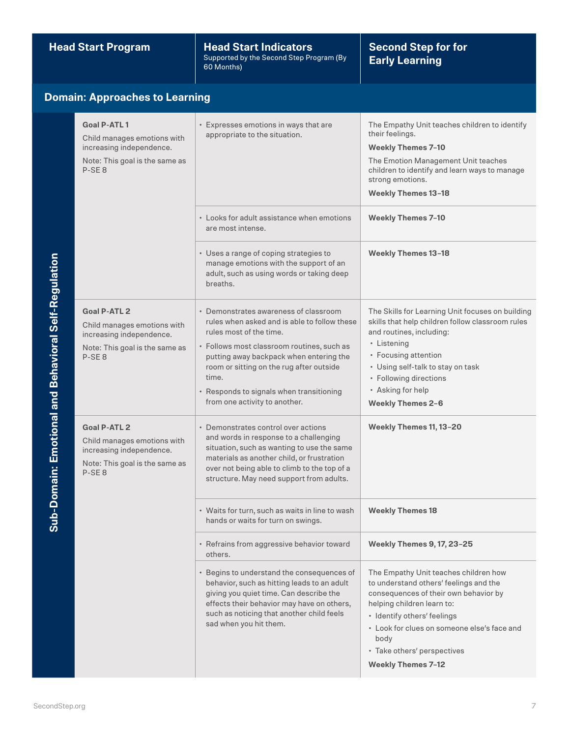**Head Start Program Head Start Indicators** Supported by the Second Step Program (By 60 Months)

## **Second Step for for Early Learning**

## **Domain: Approaches to Learning**

| Goal P-ATL 1<br>Child manages emotions with<br>increasing independence.<br>Note: This goal is the same as<br>P-SE <sub>8</sub> | • Expresses emotions in ways that are<br>appropriate to the situation.                                                                                                                                                                                                                                                                      | The Empathy Unit teaches children to identify<br>their feelings.<br><b>Weekly Themes 7-10</b><br>The Emotion Management Unit teaches<br>children to identify and learn ways to manage<br>strong emotions.<br><b>Weekly Themes 13-18</b>                                                                  |
|--------------------------------------------------------------------------------------------------------------------------------|---------------------------------------------------------------------------------------------------------------------------------------------------------------------------------------------------------------------------------------------------------------------------------------------------------------------------------------------|----------------------------------------------------------------------------------------------------------------------------------------------------------------------------------------------------------------------------------------------------------------------------------------------------------|
|                                                                                                                                | • Looks for adult assistance when emotions<br>are most intense.                                                                                                                                                                                                                                                                             | <b>Weekly Themes 7-10</b>                                                                                                                                                                                                                                                                                |
|                                                                                                                                | • Uses a range of coping strategies to<br>manage emotions with the support of an<br>adult, such as using words or taking deep<br>breaths.                                                                                                                                                                                                   | <b>Weekly Themes 13-18</b>                                                                                                                                                                                                                                                                               |
| Goal P-ATL 2<br>Child manages emotions with<br>increasing independence.<br>Note: This goal is the same as<br>P-SE <sub>8</sub> | • Demonstrates awareness of classroom<br>rules when asked and is able to follow these<br>rules most of the time.<br>• Follows most classroom routines, such as<br>putting away backpack when entering the<br>room or sitting on the rug after outside<br>time.<br>• Responds to signals when transitioning<br>from one activity to another. | The Skills for Learning Unit focuses on building<br>skills that help children follow classroom rules<br>and routines, including:<br>• Listening<br>• Focusing attention<br>• Using self-talk to stay on task<br>• Following directions<br>• Asking for help<br><b>Weekly Themes 2-6</b>                  |
| Goal P-ATL 2<br>Child manages emotions with<br>increasing independence.<br>Note: This goal is the same as<br>P-SE <sub>8</sub> | • Demonstrates control over actions<br>and words in response to a challenging<br>situation, such as wanting to use the same<br>materials as another child, or frustration<br>over not being able to climb to the top of a<br>structure. May need support from adults.                                                                       | Weekly Themes 11, 13-20                                                                                                                                                                                                                                                                                  |
|                                                                                                                                | • Waits for turn, such as waits in line to wash<br>hands or waits for turn on swings.                                                                                                                                                                                                                                                       | <b>Weekly Themes 18</b>                                                                                                                                                                                                                                                                                  |
|                                                                                                                                | • Refrains from aggressive behavior toward<br>others.                                                                                                                                                                                                                                                                                       | <b>Weekly Themes 9, 17, 23-25</b>                                                                                                                                                                                                                                                                        |
|                                                                                                                                | • Begins to understand the consequences of<br>behavior, such as hitting leads to an adult<br>giving you quiet time. Can describe the<br>effects their behavior may have on others,<br>such as noticing that another child feels<br>sad when you hit them.                                                                                   | The Empathy Unit teaches children how<br>to understand others' feelings and the<br>consequences of their own behavior by<br>helping children learn to:<br>· Identify others' feelings<br>• Look for clues on someone else's face and<br>body<br>• Take others' perspectives<br><b>Weekly Themes 7-12</b> |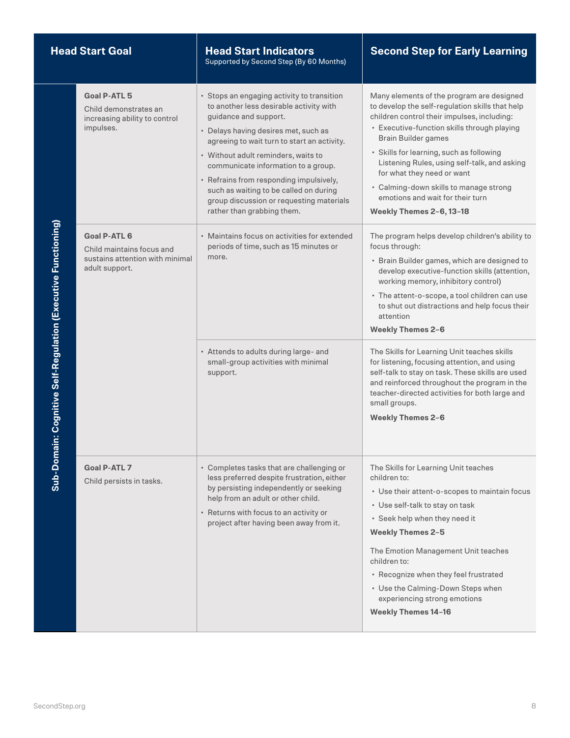| <b>Head Start Goal</b>                                 |                                                                                                       | <b>Head Start Indicators</b><br>Supported by Second Step (By 60 Months)                                                                                                                                                                                                                                                                                                                                                                            | <b>Second Step for Early Learning</b>                                                                                                                                                                                                                                                                                                                                                                                                                 |
|--------------------------------------------------------|-------------------------------------------------------------------------------------------------------|----------------------------------------------------------------------------------------------------------------------------------------------------------------------------------------------------------------------------------------------------------------------------------------------------------------------------------------------------------------------------------------------------------------------------------------------------|-------------------------------------------------------------------------------------------------------------------------------------------------------------------------------------------------------------------------------------------------------------------------------------------------------------------------------------------------------------------------------------------------------------------------------------------------------|
|                                                        | Goal P-ATL 5<br>Child demonstrates an<br>increasing ability to control<br>impulses.                   | • Stops an engaging activity to transition<br>to another less desirable activity with<br>guidance and support.<br>• Delays having desires met, such as<br>agreeing to wait turn to start an activity.<br>• Without adult reminders, waits to<br>communicate information to a group.<br>• Refrains from responding impulsively,<br>such as waiting to be called on during<br>group discussion or requesting materials<br>rather than grabbing them. | Many elements of the program are designed<br>to develop the self-regulation skills that help<br>children control their impulses, including:<br>• Executive-function skills through playing<br>Brain Builder games<br>· Skills for learning, such as following<br>Listening Rules, using self-talk, and asking<br>for what they need or want<br>• Calming-down skills to manage strong<br>emotions and wait for their turn<br>Weekly Themes 2-6, 13-18 |
| ain: Cognitive Self-Regulation (Executive Functioning) | <b>Goal P-ATL 6</b><br>Child maintains focus and<br>sustains attention with minimal<br>adult support. | • Maintains focus on activities for extended<br>periods of time, such as 15 minutes or<br>more.                                                                                                                                                                                                                                                                                                                                                    | The program helps develop children's ability to<br>focus through:<br>· Brain Builder games, which are designed to<br>develop executive-function skills (attention,<br>working memory, inhibitory control)<br>· The attent-o-scope, a tool children can use<br>to shut out distractions and help focus their<br>attention<br><b>Weekly Themes 2-6</b>                                                                                                  |
|                                                        |                                                                                                       | • Attends to adults during large- and<br>small-group activities with minimal<br>support.                                                                                                                                                                                                                                                                                                                                                           | The Skills for Learning Unit teaches skills<br>for listening, focusing attention, and using<br>self-talk to stay on task. These skills are used<br>and reinforced throughout the program in the<br>teacher-directed activities for both large and<br>small groups.<br><b>Weekly Themes 2-6</b>                                                                                                                                                        |
| Sub-Dom                                                | Goal P-ATL 7<br>Child persists in tasks.                                                              | • Completes tasks that are challenging or<br>less preferred despite frustration, either<br>by persisting independently or seeking<br>help from an adult or other child.<br>• Returns with focus to an activity or<br>project after having been away from it.                                                                                                                                                                                       | The Skills for Learning Unit teaches<br>children to:<br>• Use their attent-o-scopes to maintain focus<br>• Use self-talk to stay on task<br>• Seek help when they need it<br><b>Weekly Themes 2-5</b><br>The Emotion Management Unit teaches<br>children to:<br>• Recognize when they feel frustrated<br>• Use the Calming-Down Steps when<br>experiencing strong emotions<br><b>Weekly Themes 14-16</b>                                              |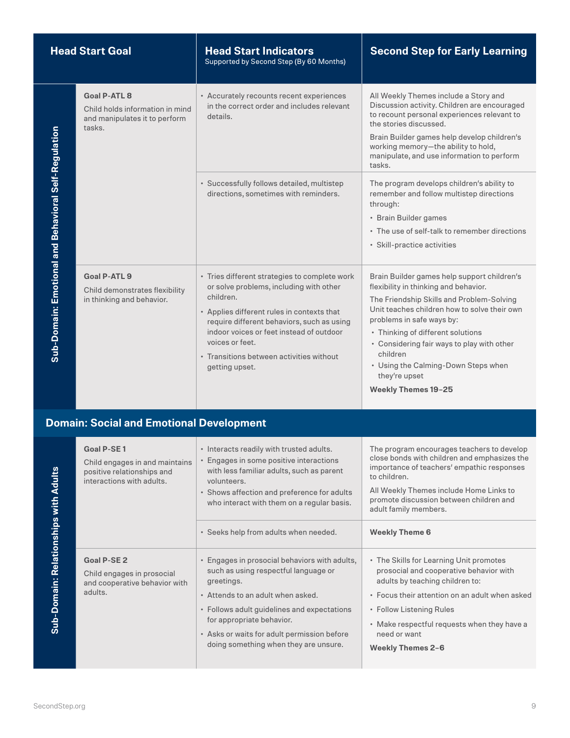| <b>Head Start Goal</b>                               |                                                                                                                | <b>Head Start Indicators</b><br>Supported by Second Step (By 60 Months)                                                                                                                                                                                                                                                        | <b>Second Step for Early Learning</b>                                                                                                                                                                                                                                                                                                                                                               |
|------------------------------------------------------|----------------------------------------------------------------------------------------------------------------|--------------------------------------------------------------------------------------------------------------------------------------------------------------------------------------------------------------------------------------------------------------------------------------------------------------------------------|-----------------------------------------------------------------------------------------------------------------------------------------------------------------------------------------------------------------------------------------------------------------------------------------------------------------------------------------------------------------------------------------------------|
|                                                      | <b>Goal P-ATL 8</b><br>Child holds information in mind<br>and manipulates it to perform<br>tasks.              | • Accurately recounts recent experiences<br>in the correct order and includes relevant<br>details.                                                                                                                                                                                                                             | All Weekly Themes include a Story and<br>Discussion activity. Children are encouraged<br>to recount personal experiences relevant to<br>the stories discussed.<br>Brain Builder games help develop children's<br>working memory-the ability to hold,<br>manipulate, and use information to perform<br>tasks.                                                                                        |
|                                                      |                                                                                                                | · Successfully follows detailed, multistep<br>directions, sometimes with reminders.                                                                                                                                                                                                                                            | The program develops children's ability to<br>remember and follow multistep directions<br>through:<br>• Brain Builder games<br>• The use of self-talk to remember directions<br>· Skill-practice activities                                                                                                                                                                                         |
| Sub-Domain: Emotional and Behavioral Self-Regulation | <b>Goal P-ATL 9</b><br>Child demonstrates flexibility<br>in thinking and behavior.                             | • Tries different strategies to complete work<br>or solve problems, including with other<br>children.<br>• Applies different rules in contexts that<br>require different behaviors, such as using<br>indoor voices or feet instead of outdoor<br>voices or feet.<br>• Transitions between activities without<br>getting upset. | Brain Builder games help support children's<br>flexibility in thinking and behavior.<br>The Friendship Skills and Problem-Solving<br>Unit teaches children how to solve their own<br>problems in safe ways by:<br>• Thinking of different solutions<br>• Considering fair ways to play with other<br>children<br>• Using the Calming-Down Steps when<br>they're upset<br><b>Weekly Themes 19-25</b> |
|                                                      | <b>Domain: Social and Emotional Development</b>                                                                |                                                                                                                                                                                                                                                                                                                                |                                                                                                                                                                                                                                                                                                                                                                                                     |
|                                                      | <b>Goal P-SE1</b><br>Child engages in and maintains<br>positive relationships and<br>interactions with adults. | • Interacts readily with trusted adults.<br>• Engages in some positive interactions<br>with less familiar adults, such as parent<br>volunteers.<br>• Shows affection and preference for adults<br>who interact with them on a regular basis.                                                                                   | The program encourages teachers to develop<br>close bonds with children and emphasizes the<br>importance of teachers' empathic responses<br>to children.<br>All Weekly Themes include Home Links to<br>promote discussion between children and<br>adult family members.                                                                                                                             |
|                                                      |                                                                                                                | · Seeks help from adults when needed.                                                                                                                                                                                                                                                                                          | <b>Weekly Theme 6</b>                                                                                                                                                                                                                                                                                                                                                                               |
| Sub-Domain: Relationships with Adults                | <b>Goal P-SE 2</b><br>Child engages in prosocial<br>and cooperative behavior with<br>adults.                   | • Engages in prosocial behaviors with adults,<br>such as using respectful language or<br>greetings.<br>• Attends to an adult when asked.<br>• Follows adult guidelines and expectations                                                                                                                                        | • The Skills for Learning Unit promotes<br>prosocial and cooperative behavior with<br>adults by teaching children to:<br>• Focus their attention on an adult when asked<br>• Follow Listening Rules                                                                                                                                                                                                 |
|                                                      |                                                                                                                | for appropriate behavior.                                                                                                                                                                                                                                                                                                      | • Make respectful requests when they have a                                                                                                                                                                                                                                                                                                                                                         |

| interactions with adults.                                                             | volunteers.<br>• Shows affection and preference for adults<br>who interact with them on a regular basis.                                                                                                                                                            | LU UNIULUI UN<br>All Weekly Themes include Home Links to<br>promote discussion between children and<br>adult family members.                                                                                                                                       |
|---------------------------------------------------------------------------------------|---------------------------------------------------------------------------------------------------------------------------------------------------------------------------------------------------------------------------------------------------------------------|--------------------------------------------------------------------------------------------------------------------------------------------------------------------------------------------------------------------------------------------------------------------|
|                                                                                       | • Seeks help from adults when needed.                                                                                                                                                                                                                               | <b>Weekly Theme 6</b>                                                                                                                                                                                                                                              |
| Goal P-SE 2<br>Child engages in prosocial<br>and cooperative behavior with<br>adults. | • Engages in prosocial behaviors with adults,<br>such as using respectful language or<br>greetings.<br>• Attends to an adult when asked.<br>• Follows adult guidelines and expectations<br>for appropriate behavior.<br>• Asks or waits for adult permission before | • The Skills for Learning Unit promotes<br>prosocial and cooperative behavior with<br>adults by teaching children to:<br>• Focus their attention on an adult when asked<br>• Follow Listening Rules<br>• Make respectful requests when they have a<br>need or want |
|                                                                                       | doing something when they are unsure.                                                                                                                                                                                                                               | <b>Weekly Themes 2-6</b>                                                                                                                                                                                                                                           |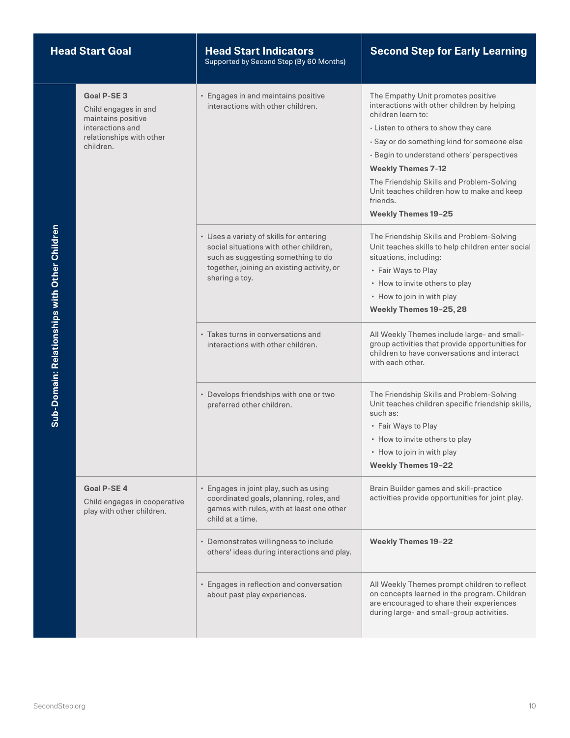| <b>Head Start Goal</b>                        |                                                                                                                        | <b>Head Start Indicators</b><br>Supported by Second Step (By 60 Months)                                                                                                                 | <b>Second Step for Early Learning</b>                                                                                                                                                                                                                                                                                                                                                                          |
|-----------------------------------------------|------------------------------------------------------------------------------------------------------------------------|-----------------------------------------------------------------------------------------------------------------------------------------------------------------------------------------|----------------------------------------------------------------------------------------------------------------------------------------------------------------------------------------------------------------------------------------------------------------------------------------------------------------------------------------------------------------------------------------------------------------|
|                                               | Goal P-SE 3<br>Child engages in and<br>maintains positive<br>interactions and<br>relationships with other<br>children. | • Engages in and maintains positive<br>interactions with other children.                                                                                                                | The Empathy Unit promotes positive<br>interactions with other children by helping<br>children learn to:<br>· Listen to others to show they care<br>· Say or do something kind for someone else<br>· Begin to understand others' perspectives<br><b>Weekly Themes 7-12</b><br>The Friendship Skills and Problem-Solving<br>Unit teaches children how to make and keep<br>friends.<br><b>Weekly Themes 19-25</b> |
| Sub-Domain: Relationships with Other Children |                                                                                                                        | • Uses a variety of skills for entering<br>social situations with other children,<br>such as suggesting something to do<br>together, joining an existing activity, or<br>sharing a toy. | The Friendship Skills and Problem-Solving<br>Unit teaches skills to help children enter social<br>situations, including:<br>• Fair Ways to Play<br>• How to invite others to play<br>• How to join in with play<br>Weekly Themes 19-25, 28                                                                                                                                                                     |
|                                               |                                                                                                                        | • Takes turns in conversations and<br>interactions with other children.                                                                                                                 | All Weekly Themes include large- and small-<br>group activities that provide opportunities for<br>children to have conversations and interact<br>with each other.                                                                                                                                                                                                                                              |
|                                               |                                                                                                                        | • Develops friendships with one or two<br>preferred other children.                                                                                                                     | The Friendship Skills and Problem-Solving<br>Unit teaches children specific friendship skills,<br>such as:<br>• Fair Ways to Play<br>• How to invite others to play<br>• How to join in with play<br><b>Weekly Themes 19-22</b>                                                                                                                                                                                |
|                                               | <b>Goal P-SE4</b><br>Child engages in cooperative<br>play with other children.                                         | · Engages in joint play, such as using<br>coordinated goals, planning, roles, and<br>games with rules, with at least one other<br>child at a time.                                      | Brain Builder games and skill-practice<br>activities provide opportunities for joint play.                                                                                                                                                                                                                                                                                                                     |
|                                               |                                                                                                                        | • Demonstrates willingness to include<br>others' ideas during interactions and play.                                                                                                    | <b>Weekly Themes 19-22</b>                                                                                                                                                                                                                                                                                                                                                                                     |
|                                               |                                                                                                                        | • Engages in reflection and conversation<br>about past play experiences.                                                                                                                | All Weekly Themes prompt children to reflect<br>on concepts learned in the program. Children<br>are encouraged to share their experiences<br>during large- and small-group activities.                                                                                                                                                                                                                         |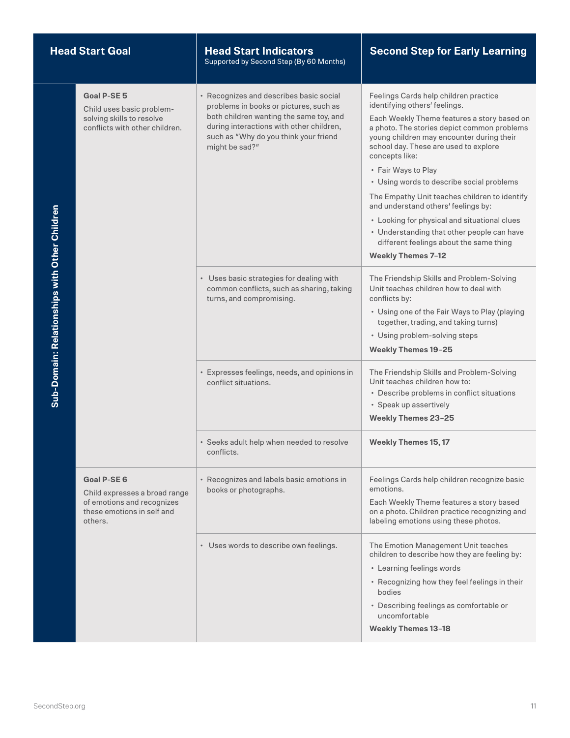| <b>Head Start Goal</b>                        |                                                                                                                            | <b>Head Start Indicators</b><br>Supported by Second Step (By 60 Months)                                                                                                                                                             | <b>Second Step for Early Learning</b>                                                                                                                                                                                                                                                                                                                                                                                                                                                                                                                                                                          |
|-----------------------------------------------|----------------------------------------------------------------------------------------------------------------------------|-------------------------------------------------------------------------------------------------------------------------------------------------------------------------------------------------------------------------------------|----------------------------------------------------------------------------------------------------------------------------------------------------------------------------------------------------------------------------------------------------------------------------------------------------------------------------------------------------------------------------------------------------------------------------------------------------------------------------------------------------------------------------------------------------------------------------------------------------------------|
|                                               | Goal P-SE 5<br>Child uses basic problem-<br>solving skills to resolve<br>conflicts with other children.                    | • Recognizes and describes basic social<br>problems in books or pictures, such as<br>both children wanting the same toy, and<br>during interactions with other children,<br>such as "Why do you think your friend<br>might be sad?" | Feelings Cards help children practice<br>identifying others' feelings.<br>Each Weekly Theme features a story based on<br>a photo. The stories depict common problems<br>young children may encounter during their<br>school day. These are used to explore<br>concepts like:<br>• Fair Ways to Play<br>• Using words to describe social problems<br>The Empathy Unit teaches children to identify<br>and understand others' feelings by:<br>• Looking for physical and situational clues<br>• Understanding that other people can have<br>different feelings about the same thing<br><b>Weekly Themes 7-12</b> |
| Sub-Domain: Relationships with Other Children |                                                                                                                            | • Uses basic strategies for dealing with<br>common conflicts, such as sharing, taking<br>turns, and compromising.                                                                                                                   | The Friendship Skills and Problem-Solving<br>Unit teaches children how to deal with<br>conflicts by:<br>• Using one of the Fair Ways to Play (playing<br>together, trading, and taking turns)<br>• Using problem-solving steps<br><b>Weekly Themes 19-25</b>                                                                                                                                                                                                                                                                                                                                                   |
|                                               |                                                                                                                            | • Expresses feelings, needs, and opinions in<br>conflict situations.                                                                                                                                                                | The Friendship Skills and Problem-Solving<br>Unit teaches children how to:<br>• Describe problems in conflict situations<br>· Speak up assertively<br><b>Weekly Themes 23-25</b>                                                                                                                                                                                                                                                                                                                                                                                                                               |
|                                               |                                                                                                                            | • Seeks adult help when needed to resolve<br>conflicts.                                                                                                                                                                             | <b>Weekly Themes 15, 17</b>                                                                                                                                                                                                                                                                                                                                                                                                                                                                                                                                                                                    |
|                                               | <b>Goal P-SE 6</b><br>Child expresses a broad range<br>of emotions and recognizes<br>these emotions in self and<br>others. | • Recognizes and labels basic emotions in<br>books or photographs.                                                                                                                                                                  | Feelings Cards help children recognize basic<br>emotions.<br>Each Weekly Theme features a story based<br>on a photo. Children practice recognizing and<br>labeling emotions using these photos.                                                                                                                                                                                                                                                                                                                                                                                                                |
|                                               |                                                                                                                            | • Uses words to describe own feelings.                                                                                                                                                                                              | The Emotion Management Unit teaches<br>children to describe how they are feeling by:<br>• Learning feelings words<br>• Recognizing how they feel feelings in their<br>bodies<br>• Describing feelings as comfortable or<br>uncomfortable<br><b>Weekly Themes 13-18</b>                                                                                                                                                                                                                                                                                                                                         |